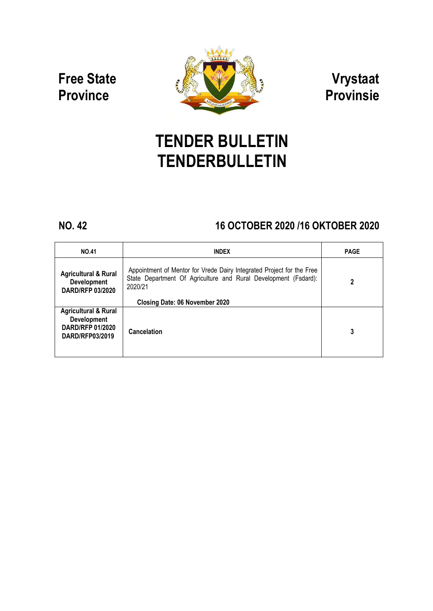# **Free State Province**



**Vrystaat Provinsie**

# **TENDER BULLETIN TENDERBULLETIN**

## **NO. 42 16 OCTOBER 2020 /16 OKTOBER 2020**

| <b>NO.41</b>                                                                                        | <b>INDEX</b>                                                                                                                                        | <b>PAGE</b> |
|-----------------------------------------------------------------------------------------------------|-----------------------------------------------------------------------------------------------------------------------------------------------------|-------------|
| <b>Agricultural &amp; Rural</b><br><b>Development</b><br><b>DARD/RFP 03/2020</b>                    | Appointment of Mentor for Vrede Dairy Integrated Project for the Free<br>State Department Of Agriculture and Rural Development (Fsdard):<br>2020/21 | 2           |
|                                                                                                     | Closing Date: 06 November 2020                                                                                                                      |             |
| <b>Agricultural &amp; Rural</b><br><b>Development</b><br><b>DARD/RFP 01/2020</b><br>DARD/RFP03/2019 | Cancelation                                                                                                                                         | 3           |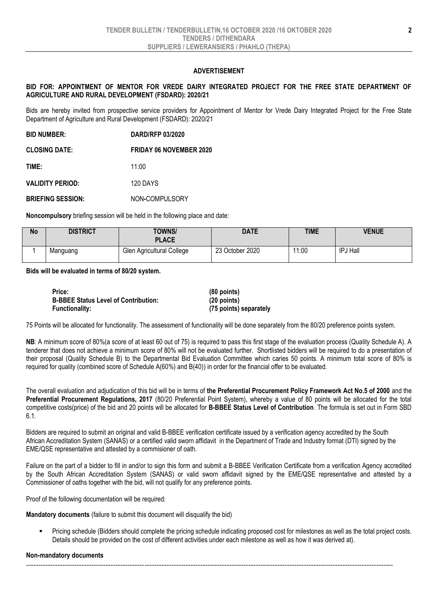#### **ADVERTISEMENT**

#### **BID FOR: APPOINTMENT OF MENTOR FOR VREDE DAIRY INTEGRATED PROJECT FOR THE FREE STATE DEPARTMENT OF AGRICULTURE AND RURAL DEVELOPMENT (FSDARD): 2020/21**

Bids are hereby invited from prospective service providers for Appointment of Mentor for Vrede Dairy Integrated Project for the Free State Department of Agriculture and Rural Development (FSDARD): 2020/21

**BID NUMBER: DARD/RFP 03/2020 CLOSING DATE: FRIDAY 06 NOVEMBER 2020 TIME:** 11:00 **VALIDITY PERIOD:** 120 DAYS **BRIEFING SESSION:** NON**-**COMPULSORY

**Noncompulsory** briefing session will be held in the following place and date:

| No | <b>DISTRICT</b> | TOWNS/<br><b>PLACE</b>    | <b>DATE</b>     | <b>TIME</b> | <b>VENUE</b>    |
|----|-----------------|---------------------------|-----------------|-------------|-----------------|
|    | Manguang        | Glen Agricultural College | 23 October 2020 | 11:00       | <b>IPJ Hall</b> |

**Bids will be evaluated in terms of 80/20 system.**

| Price:                                      | $(80$ points)          |
|---------------------------------------------|------------------------|
| <b>B-BBEE Status Level of Contribution:</b> | $(20$ points)          |
| <b>Functionality:</b>                       | (75 points) separately |

75 Points will be allocated for functionality. The assessment of functionality will be done separately from the 80/20 preference points system.

**NB**: A minimum score of 80%(a score of at least 60 out of 75) is required to pass this first stage of the evaluation process (Quality Schedule A). A tenderer that does not achieve a minimum score of 80% will not be evaluated further. Shortlisted bidders will be required to do a presentation of their proposal (Quality Schedule B) to the Departmental Bid Evaluation Committee which caries 50 points. A minimum total score of 80% is required for quality (combined score of Schedule A(60%) and B(40)) in order for the financial offer to be evaluated.

The overall evaluation and adjudication of this bid will be in terms of **the Preferential Procurement Policy Framework Act No.5 of 2000** and the **Preferential Procurement Regulations, 2017** (80/20 Preferential Point System), whereby a value of 80 points will be allocated for the total competitive costs(price) of the bid and 20 points will be allocated for **B-BBEE Status Level of Contribution**. The formula is set out in Form SBD 6.1.

Bidders are required to submit an original and valid B-BBEE verification certificate issued by a verification agency accredited by the South African Accreditation System (SANAS) or a certified valid sworn affidavit in the Department of Trade and Industry format (DTI) signed by the EME/QSE representative and attested by a commisioner of oath.

Failure on the part of a bidder to fill in and/or to sign this form and submit a B-BBEE Verification Certificate from a verification Agency accredited by the South African Accreditation System (SANAS) or valid sworn affidavit signed by the EME/QSE representative and attested by a Commissioner of oaths together with the bid, will not qualify for any preference points.

Proof of the following documentation will be required:

**Mandatory documents** (failure to submit this document will disqualify the bid)

 Pricing schedule (Bidders should complete the pricing schedule indicating proposed cost for milestones as well as the total project costs. Details should be provided on the cost of different activities under each milestone as well as how it was derived at).

#### **Non-mandatory documents**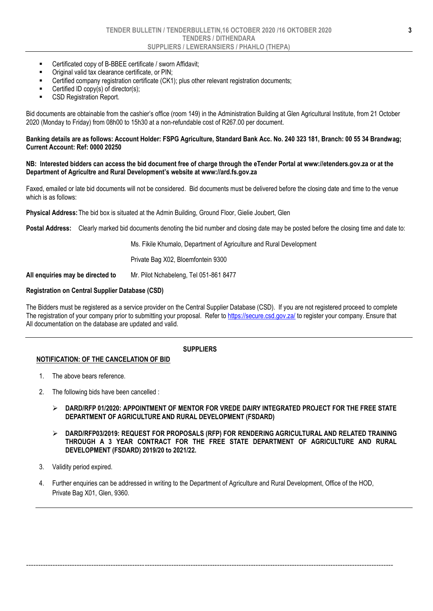- Certificated copy of B-BBEE certificate / sworn Affidavit;
- Original valid tax clearance certificate, or PIN;
- Certified company registration certificate (CK1); plus other relevant registration documents;
- Certified ID copy(s) of director(s);
- CSD Registration Report.

Bid documents are obtainable from the cashier's office (room 149) in the Administration Building at Glen Agricultural Institute, from 21 October 2020 (Monday to Friday) from 08h00 to 15h30 at a non-refundable cost of R267.00 per document.

#### **Banking details are as follows: Account Holder: FSPG Agriculture, Standard Bank Acc. No. 240 323 181, Branch: 00 55 34 Brandwag; Current Account: Ref: 0000 20250**

#### **NB: Interested bidders can access the bid document free of charge through the eTender Portal at www://etenders.gov.za or at the Department of Agricultre and Rural Development's website at www://ard.fs.gov.za**

Faxed, emailed or late bid documents will not be considered. Bid documents must be delivered before the closing date and time to the venue which is as follows:

**Physical Address:**The bid box is situated at the Admin Building, Ground Floor, Gielie Joubert, Glen

**Postal Address:** Clearly marked bid documents denoting the bid number and closing date may be posted before the closing time and date to:

Ms. Fikile Khumalo, Department of Agriculture and Rural Development

Private Bag X02, Bloemfontein 9300

**All enquiries may be directed to** Mr. Pilot Nchabeleng, Tel 051-861 8477

#### **Registration on Central Supplier Database (CSD)**

The Bidders must be registered as a service provider on the Central Supplier Database (CSD). If you are not registered proceed to complete The registration of your company prior to submitting your proposal. Refer t[o https://secure.csd.gov.za/](https://secure.csd.gov.za/) to register your company. Ensure that All documentation on the database are updated and valid.

#### **SUPPLIERS**

### **NOTIFICATION: OF THE CANCELATION OF BID**

- 1. The above bears reference.
- 2. The following bids have been cancelled :
	- **DARD/RFP 01/2020: APPOINTMENT OF MENTOR FOR VREDE DAIRY INTEGRATED PROJECT FOR THE FREE STATE DEPARTMENT OF AGRICULTURE AND RURAL DEVELOPMENT (FSDARD)**
	- **DARD/RFP03/2019: REQUEST FOR PROPOSALS (RFP) FOR RENDERING AGRICULTURAL AND RELATED TRAINING THROUGH A 3 YEAR CONTRACT FOR THE FREE STATE DEPARTMENT OF AGRICULTURE AND RURAL DEVELOPMENT (FSDARD) 2019/20 to 2021/22.**
- 3. Validity period expired.
- 4. Further enquiries can be addressed in writing to the Department of Agriculture and Rural Development, Office of the HOD, Private Bag X01, Glen, 9360.